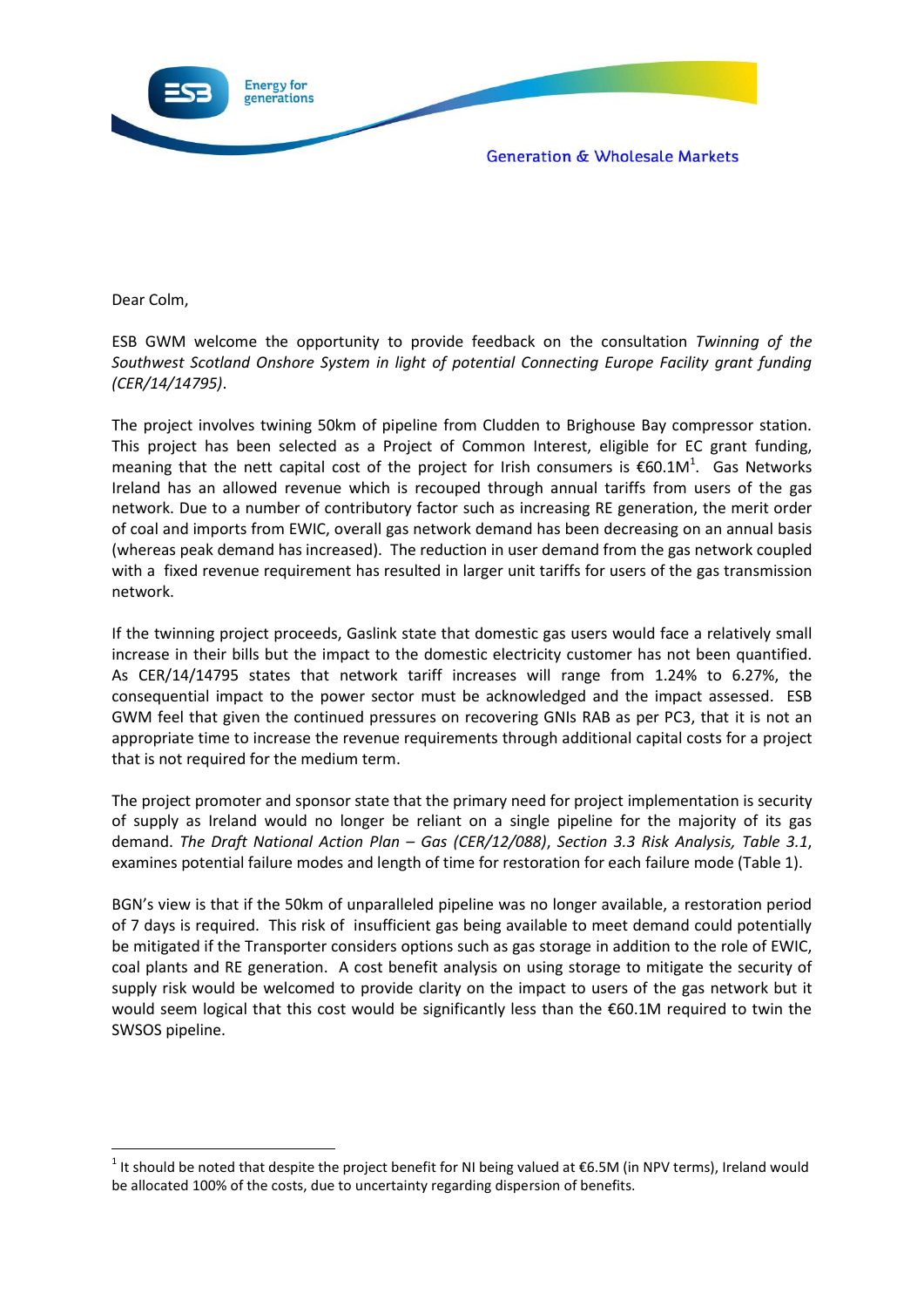

Dear Colm,

**.** 

ESB GWM welcome the opportunity to provide feedback on the consultation *Twinning of the Southwest Scotland Onshore System in light of potential Connecting Europe Facility grant funding (CER/14/14795)*.

The project involves twining 50km of pipeline from Cludden to Brighouse Bay compressor station. This project has been selected as a Project of Common Interest, eligible for EC grant funding, meaning that the nett capital cost of the project for Irish consumers is  $\epsilon$ 60.1M<sup>1</sup>. Gas Networks Ireland has an allowed revenue which is recouped through annual tariffs from users of the gas network. Due to a number of contributory factor such as increasing RE generation, the merit order of coal and imports from EWIC, overall gas network demand has been decreasing on an annual basis (whereas peak demand has increased). The reduction in user demand from the gas network coupled with a fixed revenue requirement has resulted in larger unit tariffs for users of the gas transmission network.

If the twinning project proceeds, Gaslink state that domestic gas users would face a relatively small increase in their bills but the impact to the domestic electricity customer has not been quantified. As CER/14/14795 states that network tariff increases will range from 1.24% to 6.27%, the consequential impact to the power sector must be acknowledged and the impact assessed. ESB GWM feel that given the continued pressures on recovering GNIs RAB as per PC3, that it is not an appropriate time to increase the revenue requirements through additional capital costs for a project that is not required for the medium term.

The project promoter and sponsor state that the primary need for project implementation is security of supply as Ireland would no longer be reliant on a single pipeline for the majority of its gas demand. *The Draft National Action Plan – Gas (CER/12/088)*, *Section 3.3 Risk Analysis, Table 3.1*, examines potential failure modes and length of time for restoration for each failure mode (Table 1).

BGN's view is that if the 50km of unparalleled pipeline was no longer available, a restoration period of 7 days is required. This risk of insufficient gas being available to meet demand could potentially be mitigated if the Transporter considers options such as gas storage in addition to the role of EWIC, coal plants and RE generation. A cost benefit analysis on using storage to mitigate the security of supply risk would be welcomed to provide clarity on the impact to users of the gas network but it would seem logical that this cost would be significantly less than the €60.1M required to twin the SWSOS pipeline.

<sup>&</sup>lt;sup>1</sup> It should be noted that despite the project benefit for NI being valued at €6.5M (in NPV terms), Ireland would be allocated 100% of the costs, due to uncertainty regarding dispersion of benefits.